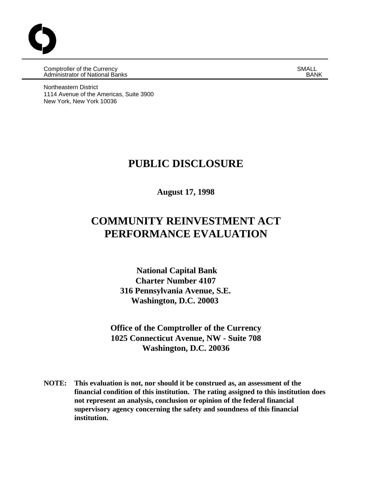Comptroller of the Currency and SMALL SMALL Comptroller of the Currency of SMALL SMALL SMALL SMALL SMALL SMALL COMM<br>Administrator of National Banks **Administrator of National Banks** 

Northeastern District 1114 Avenue of the Americas, Suite 3900 New York, New York 10036

## **PUBLIC DISCLOSURE**

**August 17, 1998**

# **COMMUNITY REINVESTMENT ACT PERFORMANCE EVALUATION**

 **National Capital Bank Charter Number 4107 316 Pennsylvania Avenue, S.E. Washington, D.C. 20003**

**Office of the Comptroller of the Currency 1025 Connecticut Avenue, NW - Suite 708 Washington, D.C. 20036**

**NOTE: This evaluation is not, nor should it be construed as, an assessment of the financial condition of this institution. The rating assigned to this institution does not represent an analysis, conclusion or opinion of the federal financial supervisory agency concerning the safety and soundness of this financial institution.**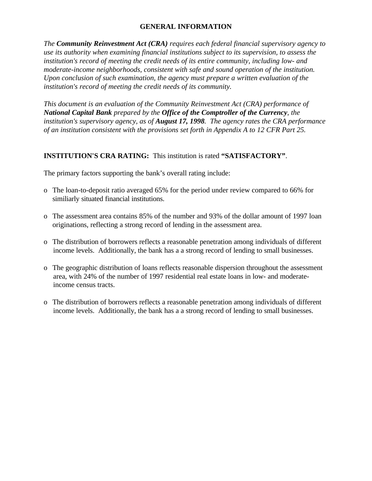### **GENERAL INFORMATION**

*The Community Reinvestment Act (CRA) requires each federal financial supervisory agency to use its authority when examining financial institutions subject to its supervision, to assess the institution's record of meeting the credit needs of its entire community, including low- and moderate-income neighborhoods, consistent with safe and sound operation of the institution. Upon conclusion of such examination, the agency must prepare a written evaluation of the institution's record of meeting the credit needs of its community.* 

*This document is an evaluation of the Community Reinvestment Act (CRA) performance of National Capital Bank prepared by the Office of the Comptroller of the Currency, the institution's supervisory agency, as of August 17, 1998. The agency rates the CRA performance of an institution consistent with the provisions set forth in Appendix A to 12 CFR Part 25.*

#### **INSTITUTION'S CRA RATING:** This institution is rated **"SATISFACTORY"**.

The primary factors supporting the bank's overall rating include:

- o The loan-to-deposit ratio averaged 65% for the period under review compared to 66% for similiarly situated financial institutions.
- o The assessment area contains 85% of the number and 93% of the dollar amount of 1997 loan originations, reflecting a strong record of lending in the assessment area.
- o The distribution of borrowers reflects a reasonable penetration among individuals of different income levels. Additionally, the bank has a a strong record of lending to small businesses.
- o The geographic distribution of loans reflects reasonable dispersion throughout the assessment area, with 24% of the number of 1997 residential real estate loans in low- and moderate income census tracts.
- o The distribution of borrowers reflects a reasonable penetration among individuals of different income levels. Additionally, the bank has a a strong record of lending to small businesses.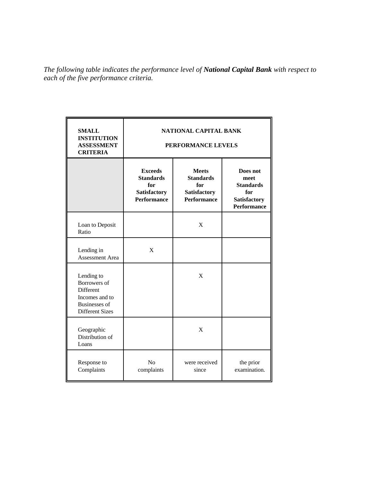*The following table indicates the performance level of National Capital Bank with respect to each of the five performance criteria.*

| <b>SMALL</b><br><b>INSTITUTION</b><br><b>ASSESSMENT</b><br><b>CRITERIA</b>                                         | NATIONAL CAPITAL BANK<br>PERFORMANCE LEVELS                                     |                                                                               |                                                                                          |  |
|--------------------------------------------------------------------------------------------------------------------|---------------------------------------------------------------------------------|-------------------------------------------------------------------------------|------------------------------------------------------------------------------------------|--|
|                                                                                                                    | <b>Exceeds</b><br><b>Standards</b><br>for<br>Satisfactory<br><b>Performance</b> | <b>Meets</b><br><b>Standards</b><br>for<br>Satisfactory<br><b>Performance</b> | Does not<br>meet<br><b>Standards</b><br>for<br><b>Satisfactory</b><br><b>Performance</b> |  |
| Loan to Deposit<br>Ratio                                                                                           |                                                                                 | X                                                                             |                                                                                          |  |
| Lending in<br>Assessment Area                                                                                      | X                                                                               |                                                                               |                                                                                          |  |
| Lending to<br>Borrowers of<br><b>Different</b><br>Incomes and to<br><b>Businesses</b> of<br><b>Different Sizes</b> |                                                                                 | X                                                                             |                                                                                          |  |
| Geographic<br>Distribution of<br>Loans                                                                             |                                                                                 | X                                                                             |                                                                                          |  |
| Response to<br>Complaints                                                                                          | N <sub>o</sub><br>complaints                                                    | were received<br>since                                                        | the prior<br>examination.                                                                |  |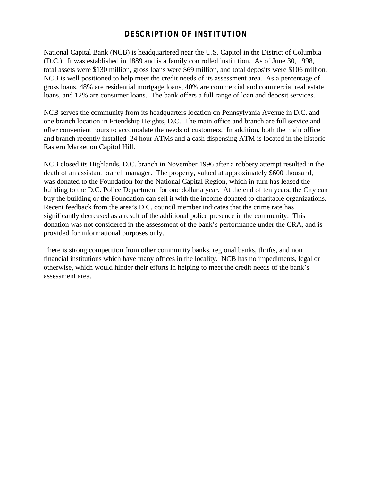## **DESCRIPTION OF INSTITUTION**

National Capital Bank (NCB) is headquartered near the U.S. Capitol in the District of Columbia (D.C.). It was established in 1889 and is a family controlled institution. As of June 30, 1998, total assets were \$130 million, gross loans were \$69 million, and total deposits were \$106 million. NCB is well positioned to help meet the credit needs of its assessment area. As a percentage of gross loans, 48% are residential mortgage loans, 40% are commercial and commercial real estate loans, and 12% are consumer loans. The bank offers a full range of loan and deposit services.

NCB serves the community from its headquarters location on Pennsylvania Avenue in D.C. and one branch location in Friendship Heights, D.C. The main office and branch are full service and offer convenient hours to accomodate the needs of customers. In addition, both the main office and branch recently installed 24 hour ATMs and a cash dispensing ATM is located in the historic Eastern Market on Capitol Hill.

NCB closed its Highlands, D.C. branch in November 1996 after a robbery attempt resulted in the death of an assistant branch manager. The property, valued at approximately \$600 thousand, was donated to the Foundation for the National Capital Region, which in turn has leased the building to the D.C. Police Department for one dollar a year. At the end of ten years, the City can buy the building or the Foundation can sell it with the income donated to charitable organizations. Recent feedback from the area's D.C. council member indicates that the crime rate has significantly decreased as a result of the additional police presence in the community. This donation was not considered in the assessment of the bank's performance under the CRA, and is provided for informational purposes only.

There is strong competition from other community banks, regional banks, thrifts, and non financial institutions which have many offices in the locality. NCB has no impediments, legal or otherwise, which would hinder their efforts in helping to meet the credit needs of the bank's assessment area.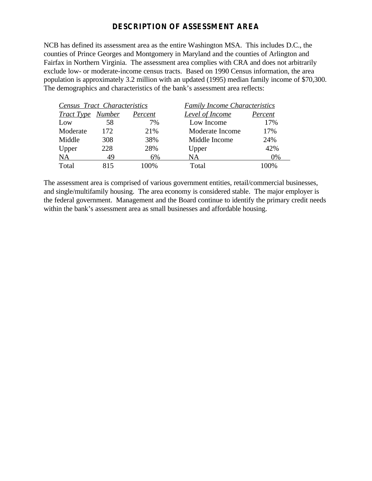## **DESCRIPTION OF ASSESSMENT AREA**

NCB has defined its assessment area as the entire Washington MSA. This includes D.C., the counties of Prince Georges and Montgomery in Maryland and the counties of Arlington and Fairfax in Northern Virginia. The assessment area complies with CRA and does not arbitrarily exclude low- or moderate-income census tracts. Based on 1990 Census information, the area population is approximately 3.2 million with an updated (1995) median family income of \$70,300. The demographics and characteristics of the bank's assessment area reflects:

|                          | <b>Census Tract Characteristics</b> |         | <b>Family Income Characteristics</b> |         |
|--------------------------|-------------------------------------|---------|--------------------------------------|---------|
| <b>Tract Type</b> Number |                                     | Percent | <b>Level of Income</b>               | Percent |
| Low                      | 58                                  | 7%      | Low Income                           | 17%     |
| Moderate                 | 172                                 | 21%     | Moderate Income                      | 17%     |
| Middle                   | 308                                 | 38%     | Middle Income                        | 24%     |
| Upper                    | 228                                 | 28%     | Upper                                | 42%     |
| <b>NA</b>                | 49                                  | 6%      | NA.                                  | 0%      |
| Total                    | 815                                 | 100%    | Total                                | 70%     |

The assessment area is comprised of various government entities, retail/commercial businesses, and single/multifamily housing. The area economy is considered stable. The major employer is the federal government. Management and the Board continue to identify the primary credit needs within the bank's assessment area as small businesses and affordable housing.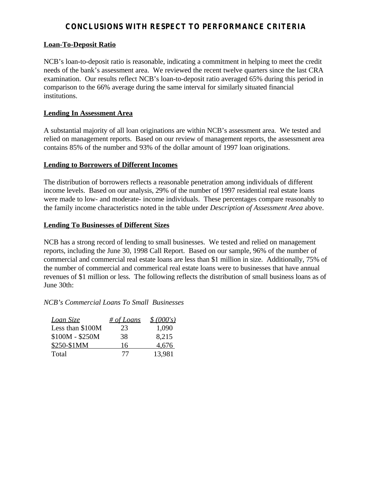## **CONCLUSIONS WITH RESPECT TO PERFORMANCE CRITERIA**

#### **Loan-To-Deposit Ratio**

NCB's loan-to-deposit ratio is reasonable, indicating a commitment in helping to meet the credit needs of the bank's assessment area. We reviewed the recent twelve quarters since the last CRA examination. Our results reflect NCB's loan-to-deposit ratio averaged 65% during this period in comparison to the 66% average during the same interval for similarly situated financial institutions.

#### **Lending In Assessment Area**

A substantial majority of all loan originations are within NCB's assessment area. We tested and relied on management reports. Based on our review of management reports, the assessment area contains 85% of the number and 93% of the dollar amount of 1997 loan originations.

#### **Lending to Borrowers of Different Incomes**

The distribution of borrowers reflects a reasonable penetration among individuals of different income levels. Based on our analysis, 29% of the number of 1997 residential real estate loans were made to low- and moderate- income individuals. These percentages compare reasonably to the family income characteristics noted in the table under *Description of Assessment Area* above.

#### **Lending To Businesses of Different Sizes**

NCB has a strong record of lending to small businesses. We tested and relied on management reports, including the June 30, 1998 Call Report. Based on our sample, 96% of the number of commercial and commercial real estate loans are less than \$1 million in size. Additionally, 75% of the number of commercial and commerical real estate loans were to businesses that have annual revenues of \$1 million or less. The following reflects the distribution of small business loans as of June 30th:

#### *NCB's Commercial Loans To Small Businesses*

| Loan Size        | # of Loans | \$ (000's) |
|------------------|------------|------------|
| Less than \$100M | 23         | 1,090      |
| \$100M - \$250M  | 38         | 8,215      |
| \$250-\$1MM      | 16         | 4,676      |
| Total            | 77         | 13,981     |